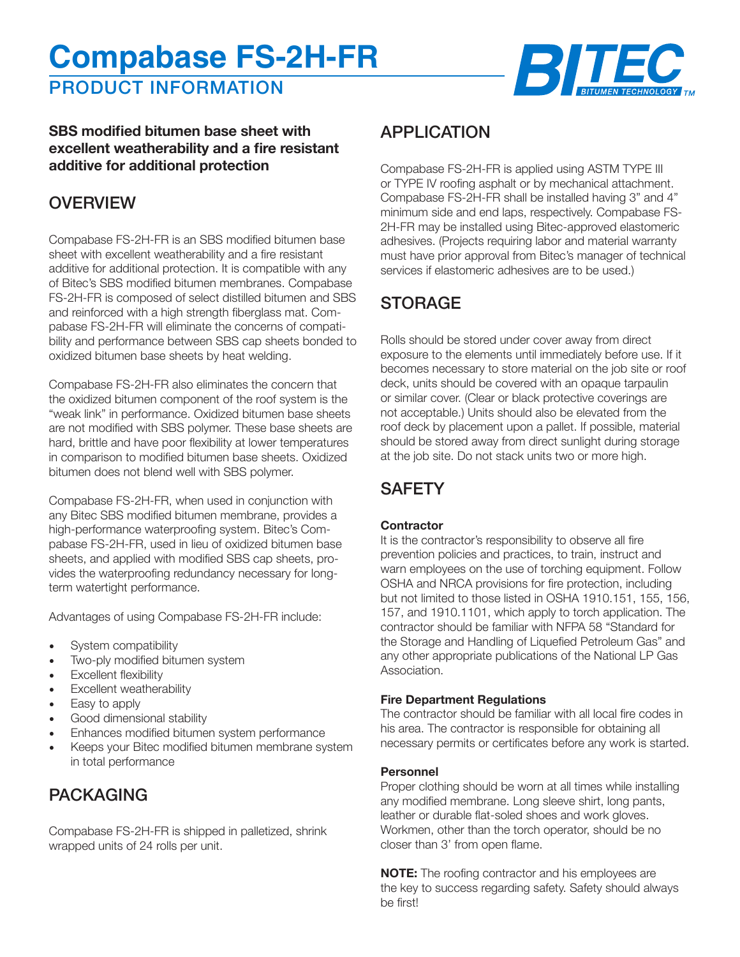# **Compabase FS-2H-FR**

PRODUCT INFORMATION



### **SBS modified bitumen base sheet with excellent weatherability and a fire resistant additive for additional protection**

## **OVERVIEW**

Compabase FS-2H-FR is an SBS modified bitumen base sheet with excellent weatherability and a fire resistant additive for additional protection. It is compatible with any of Bitec's SBS modified bitumen membranes. Compabase FS-2H-FR is composed of select distilled bitumen and SBS and reinforced with a high strength fiberglass mat. Compabase FS-2H-FR will eliminate the concerns of compatibility and performance between SBS cap sheets bonded to oxidized bitumen base sheets by heat welding.

Compabase FS-2H-FR also eliminates the concern that the oxidized bitumen component of the roof system is the "weak link" in performance. Oxidized bitumen base sheets are not modified with SBS polymer. These base sheets are hard, brittle and have poor flexibility at lower temperatures in comparison to modified bitumen base sheets. Oxidized bitumen does not blend well with SBS polymer.

Compabase FS-2H-FR, when used in conjunction with any Bitec SBS modified bitumen membrane, provides a high-performance waterproofing system. Bitec's Compabase FS-2H-FR, used in lieu of oxidized bitumen base sheets, and applied with modified SBS cap sheets, provides the waterproofing redundancy necessary for longterm watertight performance.

Advantages of using Compabase FS-2H-FR include:

- System compatibility
- Two-ply modified bitumen system
- Excellent flexibility
- Excellent weatherability
- Easy to apply
- Good dimensional stability
- Enhances modified bitumen system performance
- Keeps your Bitec modified bitumen membrane system in total performance

# PACKAGING

Compabase FS-2H-FR is shipped in palletized, shrink wrapped units of 24 rolls per unit.

## APPLICATION

Compabase FS-2H-FR is applied using ASTM TYPE III or TYPE IV roofing asphalt or by mechanical attachment. Compabase FS-2H-FR shall be installed having 3" and 4" minimum side and end laps, respectively. Compabase FS-2H-FR may be installed using Bitec-approved elastomeric adhesives. (Projects requiring labor and material warranty must have prior approval from Bitec's manager of technical services if elastomeric adhesives are to be used.)

# **STORAGE**

Rolls should be stored under cover away from direct exposure to the elements until immediately before use. If it becomes necessary to store material on the job site or roof deck, units should be covered with an opaque tarpaulin or similar cover. (Clear or black protective coverings are not acceptable.) Units should also be elevated from the roof deck by placement upon a pallet. If possible, material should be stored away from direct sunlight during storage at the job site. Do not stack units two or more high.

# **SAFETY**

#### **Contractor**

It is the contractor's responsibility to observe all fire prevention policies and practices, to train, instruct and warn employees on the use of torching equipment. Follow OSHA and NRCA provisions for fire protection, including but not limited to those listed in OSHA 1910.151, 155, 156, 157, and 1910.1101, which apply to torch application. The contractor should be familiar with NFPA 58 "Standard for the Storage and Handling of Liquefied Petroleum Gas" and any other appropriate publications of the National LP Gas Association.

#### **Fire Department Regulations**

The contractor should be familiar with all local fire codes in his area. The contractor is responsible for obtaining all necessary permits or certificates before any work is started.

#### **Personnel**

Proper clothing should be worn at all times while installing any modified membrane. Long sleeve shirt, long pants, leather or durable flat-soled shoes and work gloves. Workmen, other than the torch operator, should be no closer than 3' from open flame.

**NOTE:** The roofing contractor and his employees are the key to success regarding safety. Safety should always be first!